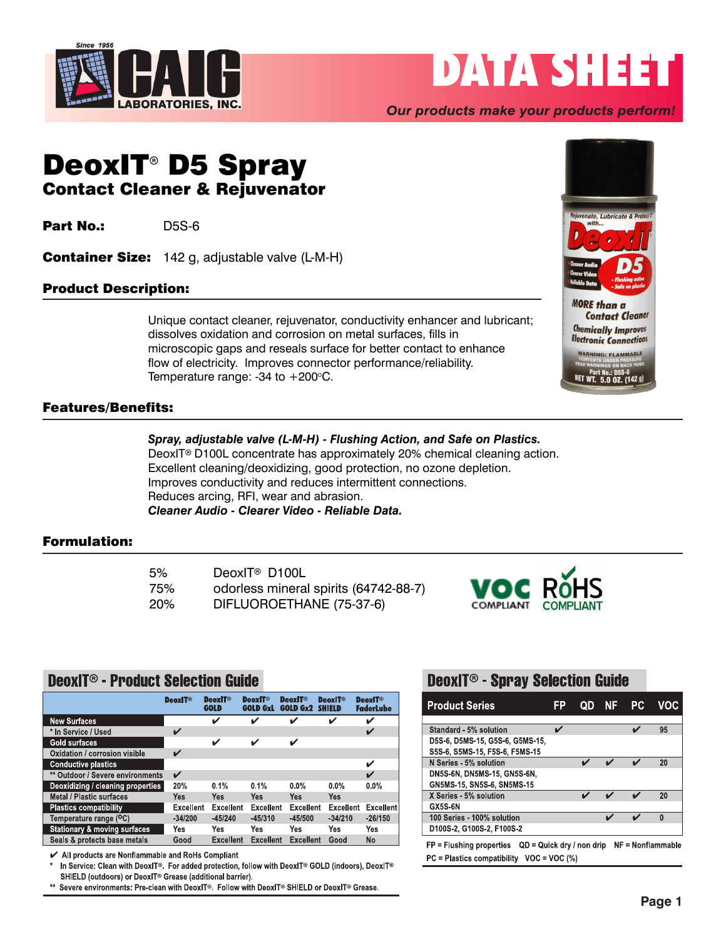

# DATA SHEET

## Our products make your products perform!

## DeoxIT<sup>®</sup> D5 Spray Contact Cleaner & Rejuvenator

**Part No.:** D5S-6

Container Size: 142 g, adjustable valve (L-M-H)

## Product Description:

Unique contact cleaner, rejuvenator, conductivity enhancer and lubricant; dissolves oxidation and corrosion on metal surfaces, fills in microscopic gaps and reseals surface for better contact to enhance flow of electricity. Improves connector performance/reliability. Temperature range: -34 to  $+200^{\circ}$ C.

## Features/Benefits:

#### *Spray, adjustable valve (L-M-H) - Flushing Action, and Safe on Plastics.*

DeoxIT<sup>®</sup> D100L concentrate has approximately 20% chemical cleaning action. Excellent cleaning/deoxidizing, good protection, no ozone depletion. Improves conductivity and reduces intermittent connections. Reduces arcing, RFI, wear and abrasion. *Cleaner Audio - Clearer Video - Reliable Data.*

## Formulation:

| 5%         | DeoxIT <sup>®</sup> D100L             |
|------------|---------------------------------------|
| 75%        | odorless mineral spirits (64742-88-7) |
| <b>20%</b> | DIFLUOROETHANE (75-37-6)              |



## **DenxIT® - Product Selection Guide**

|                                         | <b>DeoxIT<sup>®</sup></b> | <b>DeoxIT<sup>®</sup></b><br><b>GOLD</b> | <b>DeoxIT<sup>®</sup></b><br><b>GOLD GxL</b> | <b>DeoxIT<sup>®</sup></b><br><b>GOLD Gx2</b> | <b>DeoxIT<sup>®</sup></b><br><b>SHIELD</b> | <b>DeoxIT<sup>®</sup></b><br><b>FaderLube</b> |
|-----------------------------------------|---------------------------|------------------------------------------|----------------------------------------------|----------------------------------------------|--------------------------------------------|-----------------------------------------------|
| <b>New Surfaces</b>                     |                           | V                                        | ✓                                            | ✓                                            | V                                          | ✓                                             |
| * In Service / Used                     | ✔                         |                                          |                                              |                                              |                                            | $\mathbf v$                                   |
| Gold surfaces                           |                           | ✓                                        | ✓                                            | V                                            |                                            |                                               |
| Oxidation / corrosion visible           | ✓                         |                                          |                                              |                                              |                                            |                                               |
| <b>Conductive plastics</b>              |                           |                                          |                                              |                                              |                                            | V                                             |
| ** Outdoor / Severe environments        | V                         |                                          |                                              |                                              |                                            | ✔                                             |
| Deoxidizing / cleaning properties       | 20%                       | 0.1%                                     | 0.1%                                         | $0.0\%$                                      | $0.0\%$                                    | $0.0\%$                                       |
| <b>Metal / Plastic surfaces</b>         | Yes                       | <b>Yes</b>                               | Yes                                          | Yes                                          | <b>Yes</b>                                 |                                               |
| <b>Plastics compatibility</b>           | <b>Excellent</b>          | <b>Excellent</b>                         | <b>Excellent</b>                             | <b>Excellent</b>                             | <b>Excellent</b>                           | <b>Excellent</b>                              |
| Temperature range ( <sup>O</sup> C)     | $-34/200$                 | $-45/240$                                | $-45/310$                                    | $-45/500$                                    | $-34/210$                                  | $-26/150$                                     |
| <b>Stationary &amp; moving surfaces</b> | Yes                       | Yes                                      | Yes                                          | Yes                                          | Yes                                        | Yes                                           |
| Seals & protects base metals            | Good                      | <b>Excellent</b>                         | <b>Excellent</b>                             | <b>Excellent</b>                             | Good                                       | No                                            |

✔ All products are Nonflammable and RoHs Compliant

In Service: Clean with DeoxIT®. For added protection, follow with DeoxIT® GOLD (indoors), DeoxIT® SHIELD (outdoors) or DeoxIT<sup>®</sup> Grease (additional barrier).

\*\* Severe environments: Pre-clean with DeoxIT®. Follow with DeoxIT® SHIELD or DeoxIT® Grease.

## **DeoxIT<sup>®</sup> - Spray Selection Guide**

| <b>Product Series</b>           | ΕP | OD | NF | PC. | VOC. |
|---------------------------------|----|----|----|-----|------|
|                                 |    |    |    |     |      |
| Standard - 5% solution          |    |    |    |     | 95   |
| D5S-6, D5MS-15, G5S-6, G5MS-15, |    |    |    |     |      |
| S5S-6, S5MS-15, F5S-6, F5MS-15  |    |    |    |     |      |
| N Series - 5% solution          |    |    |    |     | 20   |
| DN5S-6N, DN5MS-15, GN5S-6N,     |    |    |    |     |      |
| GN5MS-15, SN5S-6, SN5MS-15      |    |    |    |     |      |
| X Series - 5% solution          |    |    |    |     | 20   |
| GX5S-6N                         |    |    |    |     |      |
| 100 Series - 100% solution      |    |    |    |     | 0    |
| D100S-2, G100S-2, F100S-2       |    |    |    |     |      |

 $FP = Flushing properties$  QD = Quick dry / non drip NF = Nonflammable  $PC = Plastics$  compatibility VOC = VOC (%)